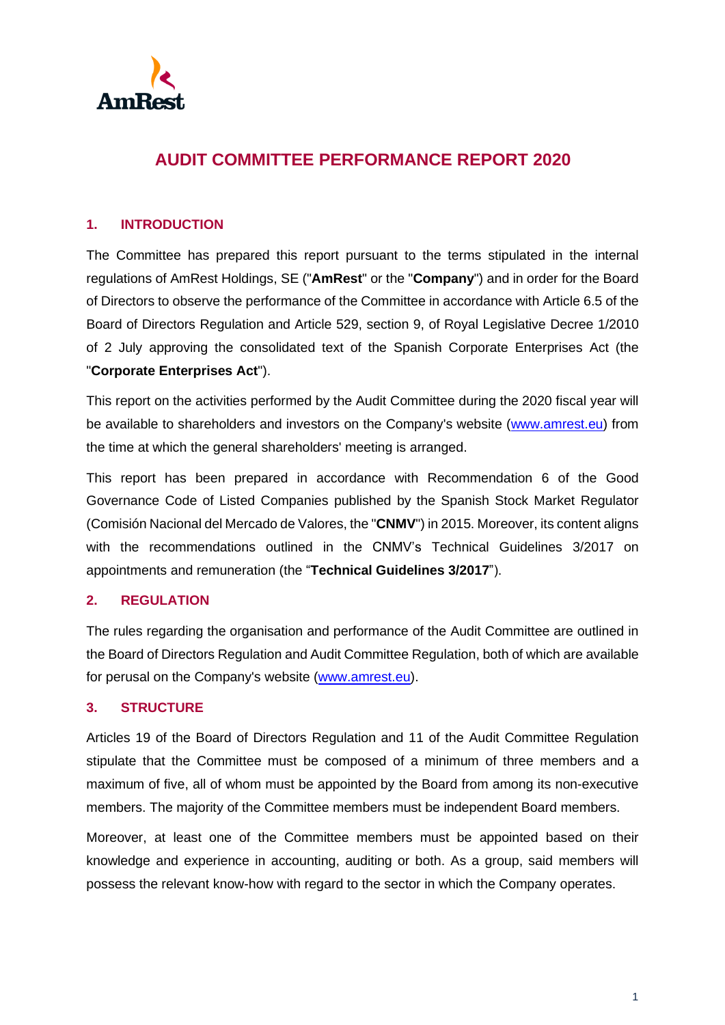

# **AUDIT COMMITTEE PERFORMANCE REPORT 2020**

### **1. INTRODUCTION**

The Committee has prepared this report pursuant to the terms stipulated in the internal regulations of AmRest Holdings, SE ("**AmRest**" or the "**Company**") and in order for the Board of Directors to observe the performance of the Committee in accordance with Article 6.5 of the Board of Directors Regulation and Article 529, section 9, of Royal Legislative Decree 1/2010 of 2 July approving the consolidated text of the Spanish Corporate Enterprises Act (the "**Corporate Enterprises Act**").

This report on the activities performed by the Audit Committee during the 2020 fiscal year will be available to shareholders and investors on the Company's website [\(www.amrest.eu\)](http://www.amrest.eu/) from the time at which the general shareholders' meeting is arranged.

This report has been prepared in accordance with Recommendation 6 of the Good Governance Code of Listed Companies published by the Spanish Stock Market Regulator (Comisión Nacional del Mercado de Valores, the "**CNMV**") in 2015. Moreover, its content aligns with the recommendations outlined in the CNMV's Technical Guidelines 3/2017 on appointments and remuneration (the "**Technical Guidelines 3/2017**").

## **2. REGULATION**

The rules regarding the organisation and performance of the Audit Committee are outlined in the Board of Directors Regulation and Audit Committee Regulation, both of which are available for perusal on the Company's website [\(www.amrest.eu\)](http://www.amrest.eu/).

#### **3. STRUCTURE**

Articles 19 of the Board of Directors Regulation and 11 of the Audit Committee Regulation stipulate that the Committee must be composed of a minimum of three members and a maximum of five, all of whom must be appointed by the Board from among its non-executive members. The majority of the Committee members must be independent Board members.

Moreover, at least one of the Committee members must be appointed based on their knowledge and experience in accounting, auditing or both. As a group, said members will possess the relevant know-how with regard to the sector in which the Company operates.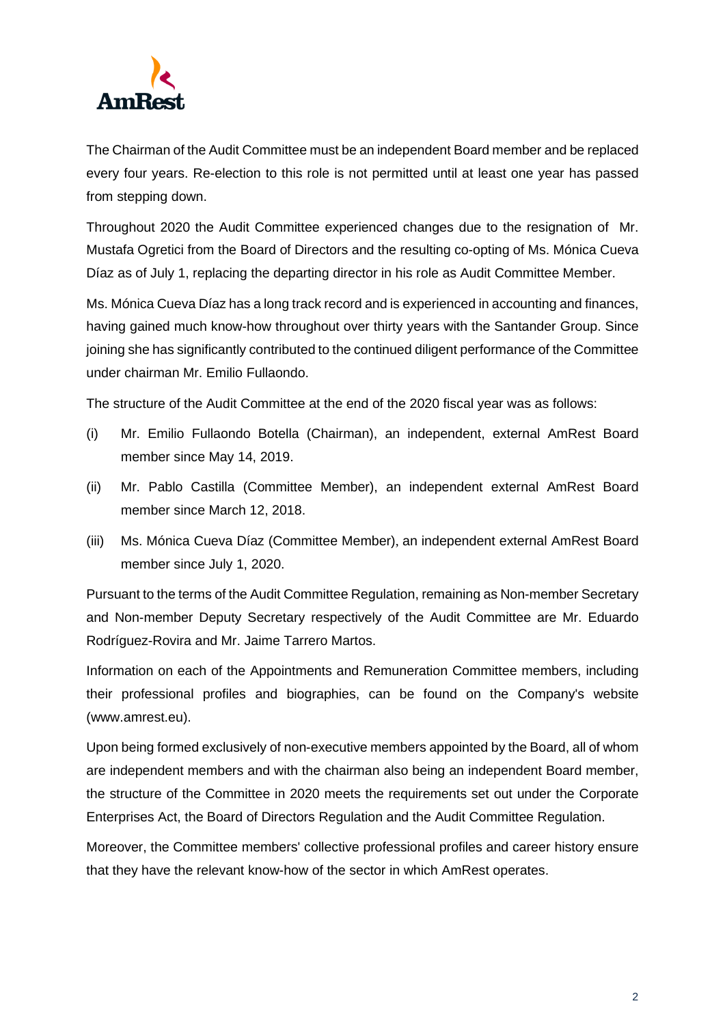

The Chairman of the Audit Committee must be an independent Board member and be replaced every four years. Re-election to this role is not permitted until at least one year has passed from stepping down.

Throughout 2020 the Audit Committee experienced changes due to the resignation of Mr. Mustafa Ogretici from the Board of Directors and the resulting co-opting of Ms. Mónica Cueva Díaz as of July 1, replacing the departing director in his role as Audit Committee Member.

Ms. Mónica Cueva Díaz has a long track record and is experienced in accounting and finances, having gained much know-how throughout over thirty years with the Santander Group. Since joining she has significantly contributed to the continued diligent performance of the Committee under chairman Mr. Emilio Fullaondo.

The structure of the Audit Committee at the end of the 2020 fiscal year was as follows:

- (i) Mr. Emilio Fullaondo Botella (Chairman), an independent, external AmRest Board member since May 14, 2019.
- (ii) Mr. Pablo Castilla (Committee Member), an independent external AmRest Board member since March 12, 2018.
- (iii) Ms. Mónica Cueva Díaz (Committee Member), an independent external AmRest Board member since July 1, 2020.

Pursuant to the terms of the Audit Committee Regulation, remaining as Non-member Secretary and Non-member Deputy Secretary respectively of the Audit Committee are Mr. Eduardo Rodríguez-Rovira and Mr. Jaime Tarrero Martos.

Information on each of the Appointments and Remuneration Committee members, including their professional profiles and biographies, can be found on the Company's website (www.amrest.eu).

Upon being formed exclusively of non-executive members appointed by the Board, all of whom are independent members and with the chairman also being an independent Board member, the structure of the Committee in 2020 meets the requirements set out under the Corporate Enterprises Act, the Board of Directors Regulation and the Audit Committee Regulation.

Moreover, the Committee members' collective professional profiles and career history ensure that they have the relevant know-how of the sector in which AmRest operates.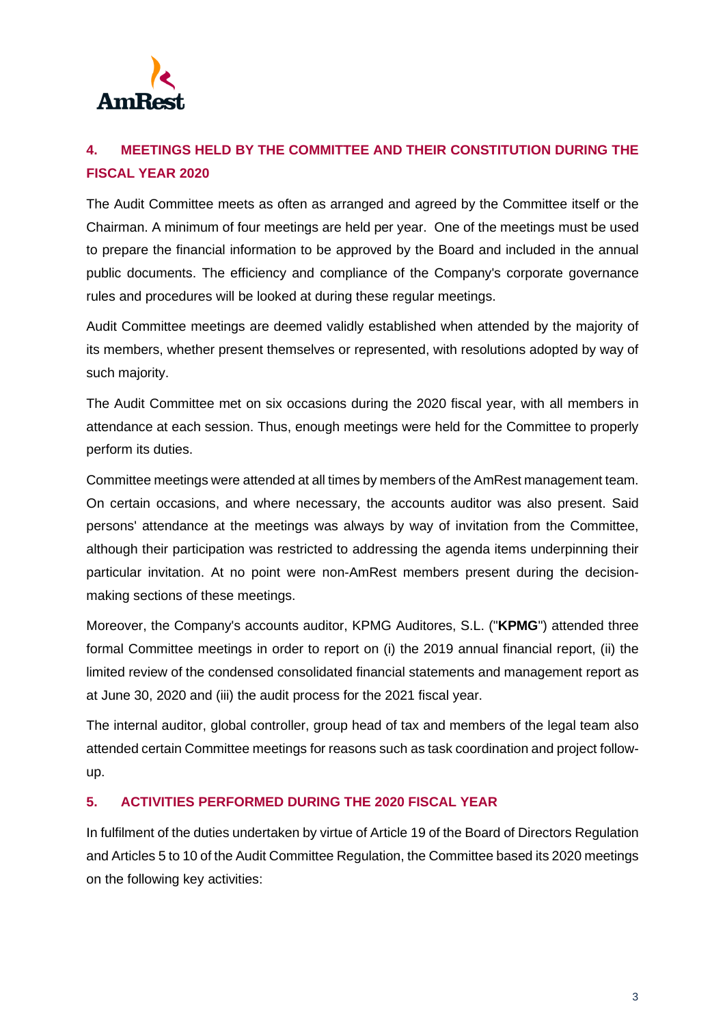

## **4. MEETINGS HELD BY THE COMMITTEE AND THEIR CONSTITUTION DURING THE FISCAL YEAR 2020**

The Audit Committee meets as often as arranged and agreed by the Committee itself or the Chairman. A minimum of four meetings are held per year. One of the meetings must be used to prepare the financial information to be approved by the Board and included in the annual public documents. The efficiency and compliance of the Company's corporate governance rules and procedures will be looked at during these regular meetings.

Audit Committee meetings are deemed validly established when attended by the majority of its members, whether present themselves or represented, with resolutions adopted by way of such majority.

The Audit Committee met on six occasions during the 2020 fiscal year, with all members in attendance at each session. Thus, enough meetings were held for the Committee to properly perform its duties.

Committee meetings were attended at all times by members of the AmRest management team. On certain occasions, and where necessary, the accounts auditor was also present. Said persons' attendance at the meetings was always by way of invitation from the Committee, although their participation was restricted to addressing the agenda items underpinning their particular invitation. At no point were non-AmRest members present during the decisionmaking sections of these meetings.

Moreover, the Company's accounts auditor, KPMG Auditores, S.L. ("**KPMG**") attended three formal Committee meetings in order to report on (i) the 2019 annual financial report, (ii) the limited review of the condensed consolidated financial statements and management report as at June 30, 2020 and (iii) the audit process for the 2021 fiscal year.

The internal auditor, global controller, group head of tax and members of the legal team also attended certain Committee meetings for reasons such as task coordination and project followup.

## **5. ACTIVITIES PERFORMED DURING THE 2020 FISCAL YEAR**

In fulfilment of the duties undertaken by virtue of Article 19 of the Board of Directors Regulation and Articles 5 to 10 of the Audit Committee Regulation, the Committee based its 2020 meetings on the following key activities: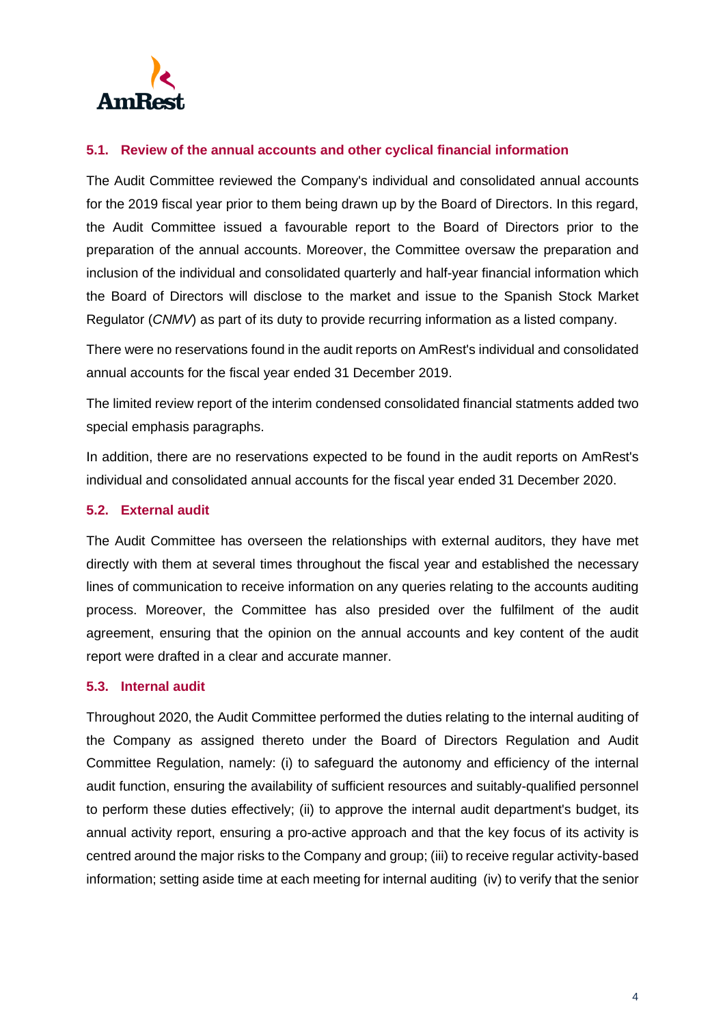

#### **5.1. Review of the annual accounts and other cyclical financial information**

The Audit Committee reviewed the Company's individual and consolidated annual accounts for the 2019 fiscal year prior to them being drawn up by the Board of Directors. In this regard, the Audit Committee issued a favourable report to the Board of Directors prior to the preparation of the annual accounts. Moreover, the Committee oversaw the preparation and inclusion of the individual and consolidated quarterly and half-year financial information which the Board of Directors will disclose to the market and issue to the Spanish Stock Market Regulator (*CNMV*) as part of its duty to provide recurring information as a listed company.

There were no reservations found in the audit reports on AmRest's individual and consolidated annual accounts for the fiscal year ended 31 December 2019.

The limited review report of the interim condensed consolidated financial statments added two special emphasis paragraphs.

In addition, there are no reservations expected to be found in the audit reports on AmRest's individual and consolidated annual accounts for the fiscal year ended 31 December 2020.

## **5.2. External audit**

The Audit Committee has overseen the relationships with external auditors, they have met directly with them at several times throughout the fiscal year and established the necessary lines of communication to receive information on any queries relating to the accounts auditing process. Moreover, the Committee has also presided over the fulfilment of the audit agreement, ensuring that the opinion on the annual accounts and key content of the audit report were drafted in a clear and accurate manner.

#### **5.3. Internal audit**

Throughout 2020, the Audit Committee performed the duties relating to the internal auditing of the Company as assigned thereto under the Board of Directors Regulation and Audit Committee Regulation, namely: (i) to safeguard the autonomy and efficiency of the internal audit function, ensuring the availability of sufficient resources and suitably-qualified personnel to perform these duties effectively; (ii) to approve the internal audit department's budget, its annual activity report, ensuring a pro-active approach and that the key focus of its activity is centred around the major risks to the Company and group; (iii) to receive regular activity-based information; setting aside time at each meeting for internal auditing (iv) to verify that the senior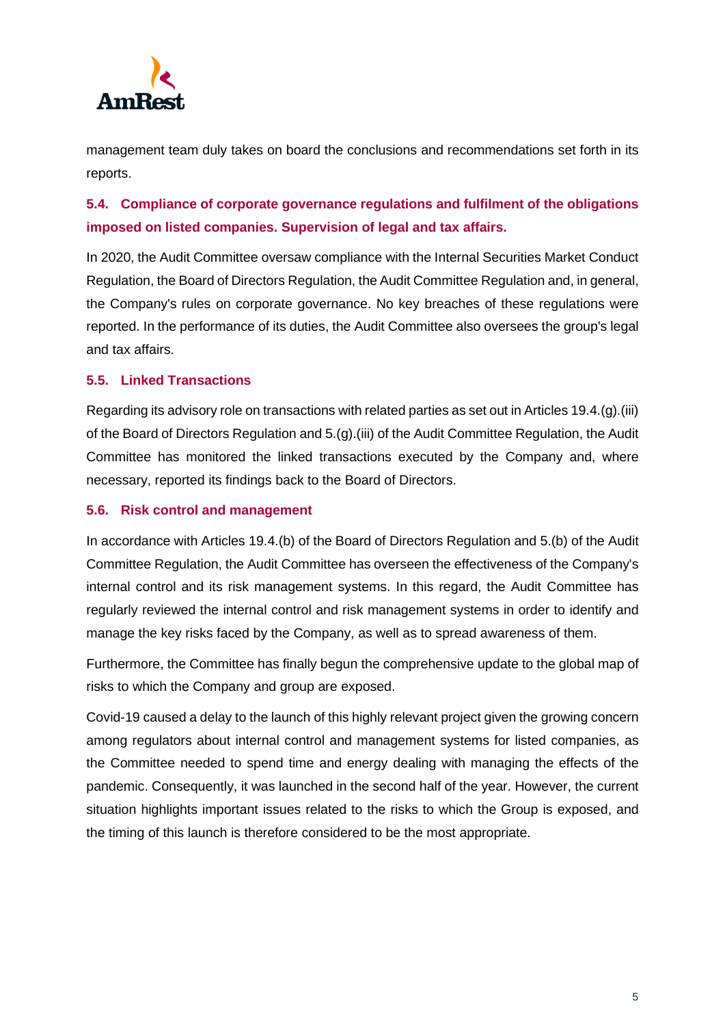

management team duly takes on board the conclusions and recommendations set forth in its reports.

## **5.4. Compliance of corporate governance regulations and fulfilment of the obligations imposed on listed companies. Supervision of legal and tax affairs.**

In 2020, the Audit Committee oversaw compliance with the Internal Securities Market Conduct Regulation, the Board of Directors Regulation, the Audit Committee Regulation and, in general, the Company's rules on corporate governance. No key breaches of these regulations were reported. In the performance of its duties, the Audit Committee also oversees the group's legal and tax affairs.

## **5.5. Linked Transactions**

Regarding its advisory role on transactions with related parties as set out in Articles 19.4.(g).(iii) of the Board of Directors Regulation and 5.(g).(iii) of the Audit Committee Regulation, the Audit Committee has monitored the linked transactions executed by the Company and, where necessary, reported its findings back to the Board of Directors.

### **5.6. Risk control and management**

In accordance with Articles 19.4.(b) of the Board of Directors Regulation and 5.(b) of the Audit Committee Regulation, the Audit Committee has overseen the effectiveness of the Company's internal control and its risk management systems. In this regard, the Audit Committee has regularly reviewed the internal control and risk management systems in order to identify and manage the key risks faced by the Company, as well as to spread awareness of them.

Furthermore, the Committee has finally begun the comprehensive update to the global map of risks to which the Company and group are exposed.

Covid-19 caused a delay to the launch of this highly relevant project given the growing concern among regulators about internal control and management systems for listed companies, as the Committee needed to spend time and energy dealing with managing the effects of the pandemic. Consequently, it was launched in the second half of the year. However, the current situation highlights important issues related to the risks to which the Group is exposed, and the timing of this launch is therefore considered to be the most appropriate.